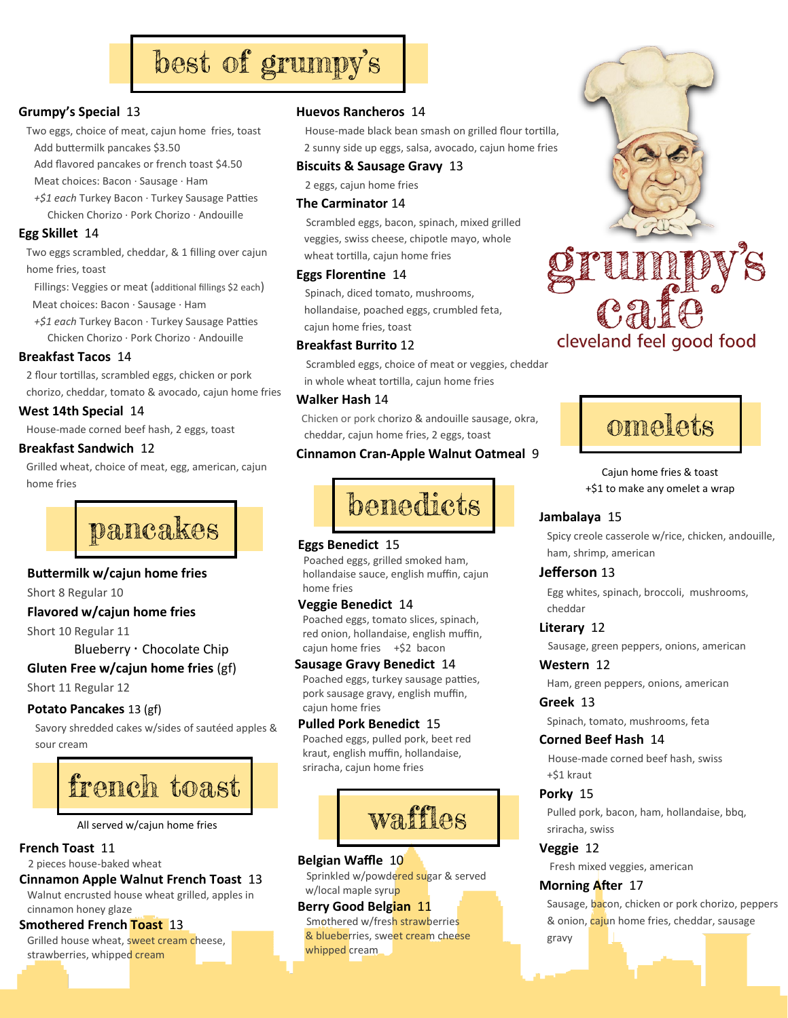# best of grumpy's

#### **Grumpy's Special** 13

- Two eggs, choice of meat, cajun home fries, toast Add buttermilk pancakes \$3.50
	- Add flavored pancakes or french toast \$4.50
	- Meat choices: Bacon ∙ Sausage ∙ Ham
	- *+\$1 each* Turkey Bacon ∙ Turkey Sausage Patties Chicken Chorizo · Pork Chorizo ∙ Andouille

#### **Egg Skillet** 14

 Two eggs scrambled, cheddar, & 1 filling over cajun home fries, toast

 Fillings: Veggies or meat (additional fillings \$2 each) Meat choices: Bacon ∙ Sausage ∙ Ham

 *+\$1 each* Turkey Bacon ∙ Turkey Sausage Patties Chicken Chorizo · Pork Chorizo ∙ Andouille

#### **Breakfast Tacos** 14

 2 flour tortillas, scrambled eggs, chicken or pork chorizo, cheddar, tomato & avocado, cajun home fries

#### **West 14th Special** 14

House-made corned beef hash, 2 eggs, toast

#### **Breakfast Sandwich** 12

Grilled wheat, choice of meat, egg, american, cajun home fries



#### **Buttermilk w/cajun home fries**

Short 8 Regular 10

#### **Flavored w/cajun home fries**

Short 10 Regular 11

### Blueberry ∙ Chocolate Chip

**Gluten Free w/cajun home fries** (gf)

#### Short 11 Regular 12

#### **Potato Pancakes** 13 (gf)

 Savory shredded cakes w/sides of sautéed apples & sour cream



All served w/cajun home fries

#### **French Toast** 11

#### 2 pieces house-baked wheat

#### **Cinnamon Apple Walnut French Toast** 13

 Walnut encrusted house wheat grilled, apples in cinnamon honey glaze

#### **Smothered French Toast** 13

Grilled house wheat, sweet cream cheese, strawberries, whipped cream

#### **Huevos Rancheros** 14

 House-made black bean smash on grilled flour tortilla, 2 sunny side up eggs, salsa, avocado, cajun home fries

#### **Biscuits & Sausage Gravy** 13

2 eggs, cajun home fries

#### **The Carminator** 14

 Scrambled eggs, bacon, spinach, mixed grilled veggies, swiss cheese, chipotle mayo, whole wheat tortilla, cajun home fries

#### **Eggs Florentine** 14

 Spinach, diced tomato, mushrooms, hollandaise, poached eggs, crumbled feta, cajun home fries, toast

#### **Breakfast Burrito** 12

 Scrambled eggs, choice of meat or veggies, cheddar in whole wheat tortilla, cajun home fries

#### **Walker Hash** 14

 Chicken or pork chorizo & andouille sausage, okra, cheddar, cajun home fries, 2 eggs, toast

#### **Cinnamon Cran-Apple Walnut Oatmeal** 9



#### **Eggs Benedict** 15

 Poached eggs, grilled smoked ham, hollandaise sauce, english muffin, cajun home fries

#### **Veggie Benedict** 14

 Poached eggs, tomato slices, spinach, red onion, hollandaise, english muffin, cajun home fries +\$2 bacon

#### **Sausage Gravy Benedict** 14

 Poached eggs, turkey sausage patties, pork sausage gravy, english muffin, cajun home fries

#### **Pulled Pork Benedict** 15

 Poached eggs, pulled pork, beet red kraut, english muffin, hollandaise, sriracha, cajun home fries



#### **Belgian Waffle** 10

 Sprinkled w/powdered sugar & served w/local maple syrup

#### **Berry Good Belgian** 11 Smothered w/fresh strawberries & blueberries, sweet cream cheese whipped cream



# omelets

#### Cajun home fries & toast +\$1 to make any omelet a wrap

#### **Jambalaya** 15

 Spicy creole casserole w/rice, chicken, andouille, ham, shrimp, american

#### **Jefferson** 13

 Egg whites, spinach, broccoli, mushrooms, cheddar

**Literary** 12

Sausage, green peppers, onions, american

**Western** 12

Ham, green peppers, onions, american

**Greek** 13

Spinach, tomato, mushrooms, feta

#### **Corned Beef Hash** 14

 House-made corned beef hash, swiss +\$1 kraut

#### **Porky** 15

 Pulled pork, bacon, ham, hollandaise, bbq, sriracha, swiss

#### **Veggie** 12

Fresh mixed veggies, american

#### **Morning After** 17

Sausage, bacon, chicken or pork chorizo, peppers & onion, cajun home fries, cheddar, sausage gravy